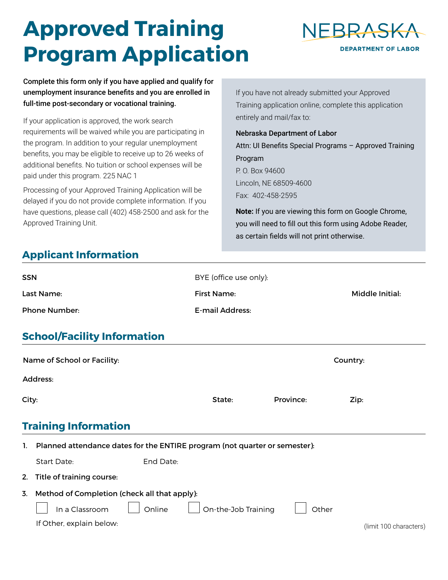# **Approved Training Program Application**



Complete this form only if you have applied and qualify for unemployment insurance benefits and you are enrolled in full-time post-secondary or vocational training.

If your application is approved, the work search requirements will be waived while you are participating in the program. In addition to your regular unemployment benefits, you may be eligible to receive up to 26 weeks of additional benefits. No tuition or school expenses will be paid under this program. 225 NAC 1

Processing of your Approved Training Application will be delayed if you do not provide complete information. If you have questions, please call (402) 458-2500 and ask for the Approved Training Unit.

If you have not already submitted your Approved Training application online, complete this application entirely and mail/fax to:

Nebraska Department of Labor Attn: UI Benefits Special Programs – Approved Training Program P. O. Box 94600 Lincoln, NE 68509-4600 Fax: 402-458-2595

**Note:** If you are viewing this form on Google Chrome, you will need to fill out this form using Adobe Reader, as certain fields will not print otherwise.

## **Applicant Information**

| <b>SSN</b>                         | BYE (office use only): |                 |
|------------------------------------|------------------------|-----------------|
| Last Name:                         | First Name:            | Middle Initial: |
| <b>Phone Number:</b>               | E-mail Address:        |                 |
| <b>School/Facility Information</b> |                        |                 |

|       | Name of School or Facility:                                                |                     |                      |           | Country: |                        |  |
|-------|----------------------------------------------------------------------------|---------------------|----------------------|-----------|----------|------------------------|--|
|       | Address:                                                                   |                     |                      |           |          |                        |  |
| City: |                                                                            | State:              | $\blacktriangledown$ | Province: | Zip:     |                        |  |
|       | <b>Training Information</b>                                                |                     |                      |           |          |                        |  |
| 1.    | Planned attendance dates for the ENTIRE program (not quarter or semester): |                     |                      |           |          |                        |  |
|       | End Date:<br>Start Date:                                                   |                     |                      |           |          |                        |  |
| 2.    | Title of training course:                                                  |                     |                      |           |          |                        |  |
| 3.    | Method of Completion (check all that apply):<br>In a Classroom<br>Online   | On-the-Job Training |                      | Other     |          |                        |  |
|       | If Other, explain below:                                                   |                     |                      |           |          | (limit 100 characters) |  |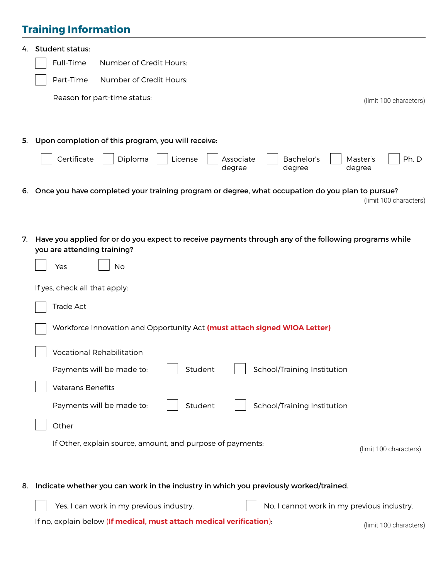# **Training Information**

| 4. | <b>Student status:</b>                                                                                                               |  |  |  |  |  |  |
|----|--------------------------------------------------------------------------------------------------------------------------------------|--|--|--|--|--|--|
|    | Full-Time<br>Number of Credit Hours:                                                                                                 |  |  |  |  |  |  |
|    | Number of Credit Hours:<br>Part-Time                                                                                                 |  |  |  |  |  |  |
|    | Reason for part-time status:<br>(limit 100 characters)                                                                               |  |  |  |  |  |  |
|    |                                                                                                                                      |  |  |  |  |  |  |
|    |                                                                                                                                      |  |  |  |  |  |  |
|    | 5. Upon completion of this program, you will receive:                                                                                |  |  |  |  |  |  |
|    | Certificate<br>Diploma<br>Bachelor's<br>Ph. D<br>License<br>Associate<br>Master's<br>degree<br>degree<br>degree                      |  |  |  |  |  |  |
|    | 6. Once you have completed your training program or degree, what occupation do you plan to pursue?                                   |  |  |  |  |  |  |
|    | (limit 100 characters)                                                                                                               |  |  |  |  |  |  |
|    |                                                                                                                                      |  |  |  |  |  |  |
| 7. | Have you applied for or do you expect to receive payments through any of the following programs while<br>you are attending training? |  |  |  |  |  |  |
|    | Yes<br>No                                                                                                                            |  |  |  |  |  |  |
|    | If yes, check all that apply:                                                                                                        |  |  |  |  |  |  |
|    | Trade Act                                                                                                                            |  |  |  |  |  |  |
|    | Workforce Innovation and Opportunity Act (must attach signed WIOA Letter)                                                            |  |  |  |  |  |  |
|    |                                                                                                                                      |  |  |  |  |  |  |
|    | <b>Vocational Rehabilitation</b>                                                                                                     |  |  |  |  |  |  |
|    | Payments will be made to:<br>School/Training Institution<br>Student                                                                  |  |  |  |  |  |  |
|    | Veterans Benefits                                                                                                                    |  |  |  |  |  |  |
|    | Payments will be made to:<br>Student<br>School/Training Institution                                                                  |  |  |  |  |  |  |
|    | Other                                                                                                                                |  |  |  |  |  |  |
|    | If Other, explain source, amount, and purpose of payments:<br>(limit 100 characters)                                                 |  |  |  |  |  |  |
|    |                                                                                                                                      |  |  |  |  |  |  |
|    |                                                                                                                                      |  |  |  |  |  |  |
|    | 8. Indicate whether you can work in the industry in which you previously worked/trained.                                             |  |  |  |  |  |  |
|    | Yes, I can work in my previous industry.<br>No, I cannot work in my previous industry.                                               |  |  |  |  |  |  |
|    | If no, explain below (If medical, must attach medical verification):<br>(limit 100 characters)                                       |  |  |  |  |  |  |
|    |                                                                                                                                      |  |  |  |  |  |  |